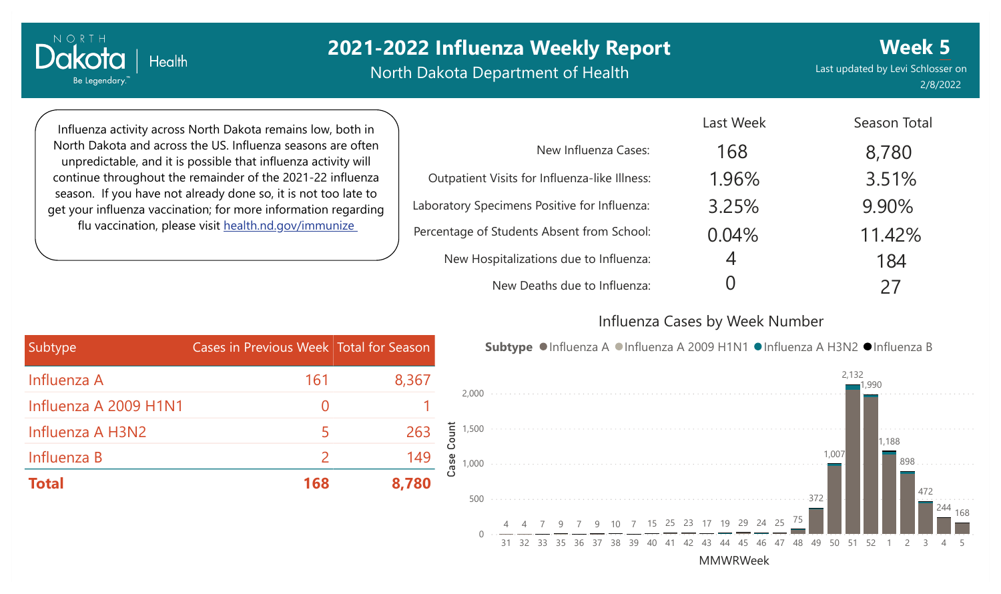North Dakota Department of Health

Last updated by Levi Schlosser on 2/8/2022 **Week 5**

Influenza activity across North Dakota remains low, both in North Dakota and across the US. Influenza seasons are often unpredictable, and it is possible that influenza activity will continue throughout the remainder of the 2021-22 influenza season. If you have not already done so, it is not too late to get your influenza vaccination; for more information regarding flu vaccination, please visit [health.nd.gov/immunize](http://health.nd.gov/immunize)

**Health** 

Dakota

Be Legendary.

|                                               | Last Week | Season Total |
|-----------------------------------------------|-----------|--------------|
| New Influenza Cases:                          | 168       | 8,780        |
| Outpatient Visits for Influenza-like Illness: | 1.96%     | 3.51%        |
| Laboratory Specimens Positive for Influenza:  | 3.25%     | 9.90%        |
| Percentage of Students Absent from School:    | 0.04%     | 11.42%       |
| New Hospitalizations due to Influenza:        | 4         | 184          |
| New Deaths due to Influenza:                  |           | 27           |

#### Influenza Cases by Week Number

| Subtype               | Cases in Previous Week Total for Season |       |
|-----------------------|-----------------------------------------|-------|
| Influenza A           | 161                                     | 8,367 |
| Influenza A 2009 H1N1 | $\left( \ \right)$                      |       |
| Influenza A H3N2      | 5                                       | 263   |
| Influenza B           | $\mathcal P$                            | 149   |
| <b>Total</b>          | 168                                     | 8,780 |



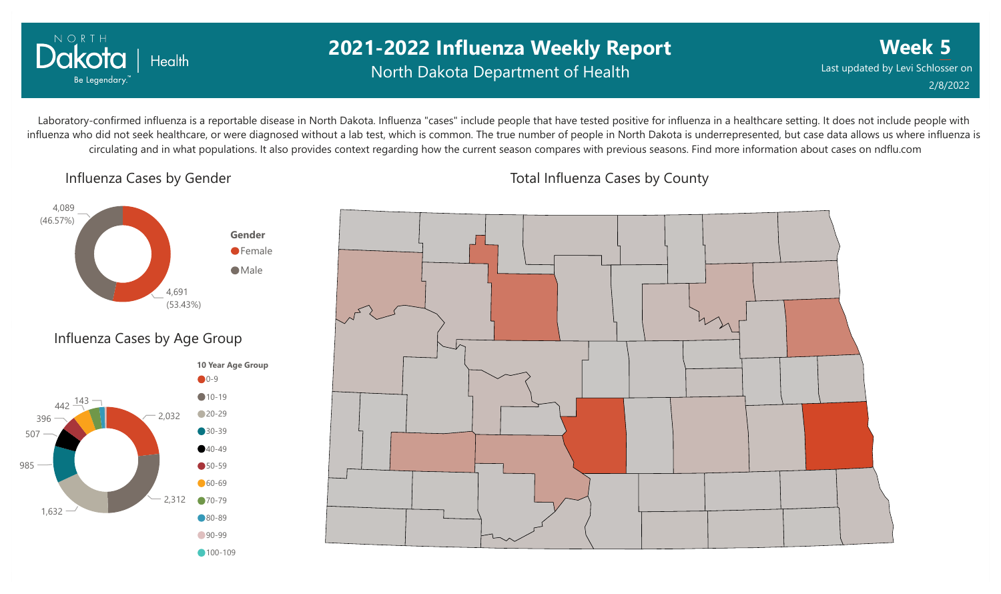

### **2021-2022 Influenza Weekly Report** North Dakota Department of Health

**Week 5** Last updated by Levi Schlosser on 2/8/2022

Laboratory-confirmed influenza is a reportable disease in North Dakota. Influenza "cases" include people that have tested positive for influenza in a healthcare setting. It does not include people with influenza who did not seek healthcare, or were diagnosed without a lab test, which is common. The true number of people in North Dakota is underrepresented, but case data allows us where influenza is circulating and in what populations. It also provides context regarding how the current season compares with previous seasons. Find more information about cases on ndflu.com

Influenza Cases by Gender





Total Influenza Cases by County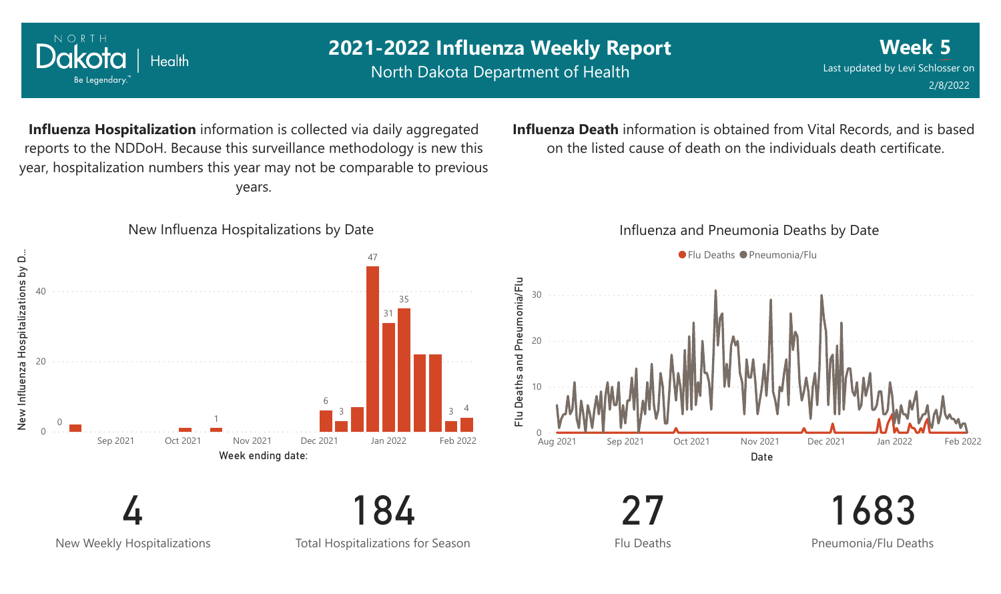

New Weekly Hospitalizations

Total Hospitalizations for Season

Flu Deaths

Pneumonia/Flu Deaths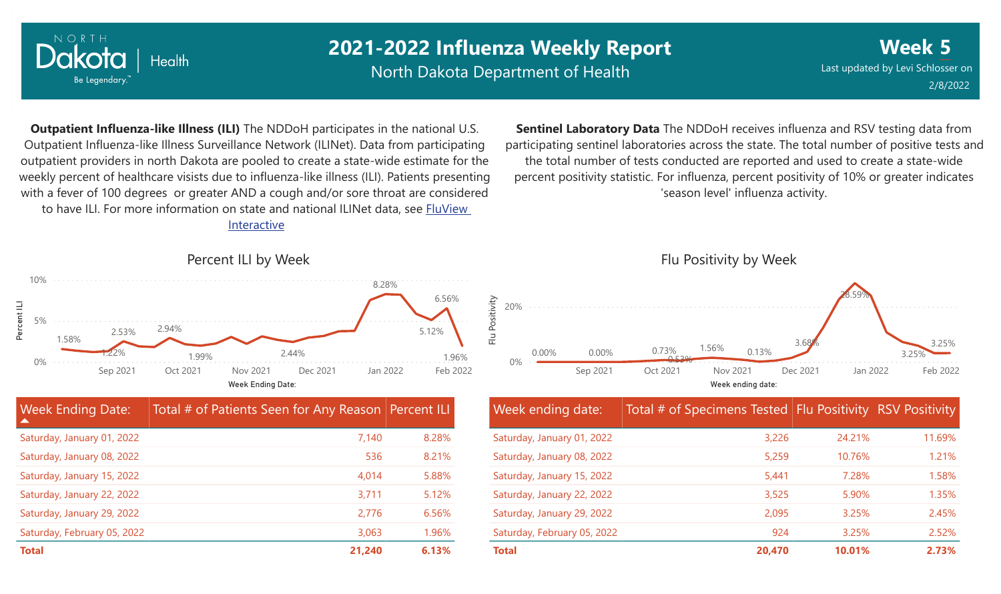

North Dakota Department of Health

**Week 5** Last updated by Levi Schlosser on 2/8/2022

**Outpatient Influenza-like Illness (ILI)** The NDDoH participates in the national U.S. Outpatient Influenza-like Illness Surveillance Network (ILINet). Data from participating outpatient providers in north Dakota are pooled to create a state-wide estimate for the weekly percent of healthcare visists due to influenza-like illness (ILI). Patients presenting with a fever of 100 degrees or greater AND a cough and/or sore throat are considered to have ILI. For more information [on state and national ILINet data, see FluView](http://fluview%20interactive/)

Interactive



| <b>Week Ending Date:</b><br>▲ | Total # of Patients Seen for Any Reason Percent ILI |       |
|-------------------------------|-----------------------------------------------------|-------|
| Saturday, January 01, 2022    | 7.140                                               | 8.28% |
| Saturday, January 08, 2022    | 536                                                 | 8.21% |
| Saturday, January 15, 2022    | 4,014                                               | 5.88% |
| Saturday, January 22, 2022    | 3,711                                               | 5.12% |
| Saturday, January 29, 2022    | 2,776                                               | 6.56% |
| Saturday, February 05, 2022   | 3,063                                               | 1.96% |
| <b>Total</b>                  | 21,240                                              | 6.13% |

**Sentinel Laboratory Data** The NDDoH receives influenza and RSV testing data from participating sentinel laboratories across the state. The total number of positive tests and the total number of tests conducted are reported and used to create a state-wide percent positivity statistic. For influenza, percent positivity of 10% or greater indicates 'season level' influenza activity.



| Week ending date:           | Total # of Specimens Tested Flu Positivity RSV Positivity |        |        |
|-----------------------------|-----------------------------------------------------------|--------|--------|
| Saturday, January 01, 2022  | 3,226                                                     | 24.21% | 11.69% |
| Saturday, January 08, 2022  | 5,259                                                     | 10.76% | 1.21%  |
| Saturday, January 15, 2022  | 5,441                                                     | 7.28%  | 1.58%  |
| Saturday, January 22, 2022  | 3,525                                                     | 5.90%  | 1.35%  |
| Saturday, January 29, 2022  | 2,095                                                     | 3.25%  | 2.45%  |
| Saturday, February 05, 2022 | 924                                                       | 3.25%  | 2.52%  |
| <b>Total</b>                | 20,470                                                    | 10.01% | 2.73%  |

#### Percent ILI by Week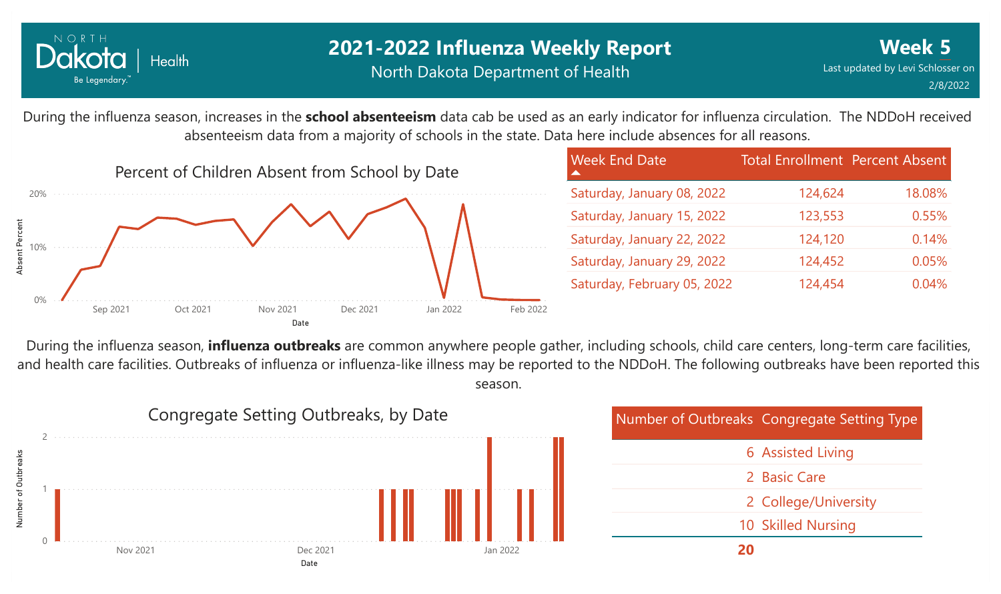

### **2021-2022 Influenza Weekly Report** North Dakota Department of Health

During the influenza season, increases in the **school absenteeism** data cab be used as an early indicator for influenza circulation. The NDDoH received absenteeism data from a majority of schools in the state. Data here include absences for all reasons.



| <b>Week End Date</b>        | <b>Total Enrollment Percent Absent</b> |        |
|-----------------------------|----------------------------------------|--------|
| Saturday, January 08, 2022  | 124,624                                | 18.08% |
| Saturday, January 15, 2022  | 123,553                                | 0.55%  |
| Saturday, January 22, 2022  | 124,120                                | 0.14%  |
| Saturday, January 29, 2022  | 124,452                                | 0.05%  |
| Saturday, February 05, 2022 | 124,454                                | 0.04%  |

During the influenza season, **influenza outbreaks** are common anywhere people gather, including schools, child care centers, long-term care facilities, and health care facilities. Outbreaks of influenza or influenza-like illness may be reported to the NDDoH. The following outbreaks have been reported this season.



| Number of Outbreaks Congregate Setting Type |
|---------------------------------------------|
| <b>6 Assisted Living</b>                    |
| 2 Basic Care                                |
| 2 College/University                        |
| 10 Skilled Nursing                          |
|                                             |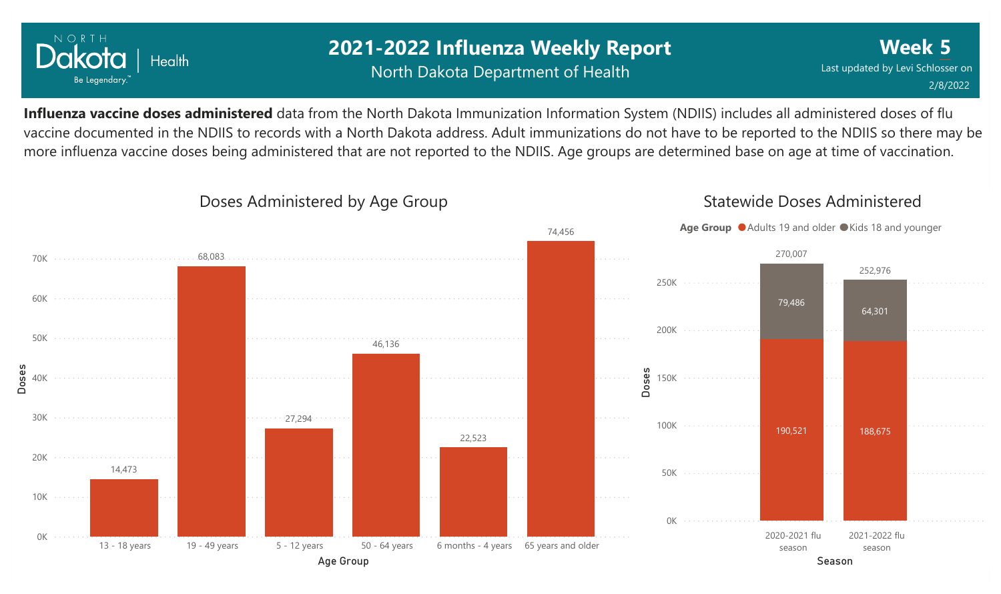

### **2021-2022 Influenza Weekly Report** North Dakota Department of Health

**Week 5** Last updated by Levi Schlosser on 2/8/2022

**Influenza vaccine doses administered** data from the North Dakota Immunization Information System (NDIIS) includes all administered doses of flu vaccine documented in the NDIIS to records with a North Dakota address. Adult immunizations do not have to be reported to the NDIIS so there may be more influenza vaccine doses being administered that are not reported to the NDIIS. Age groups are determined base on age at time of vaccination.



#### Doses Administered by Age Group

### Statewide Doses Administered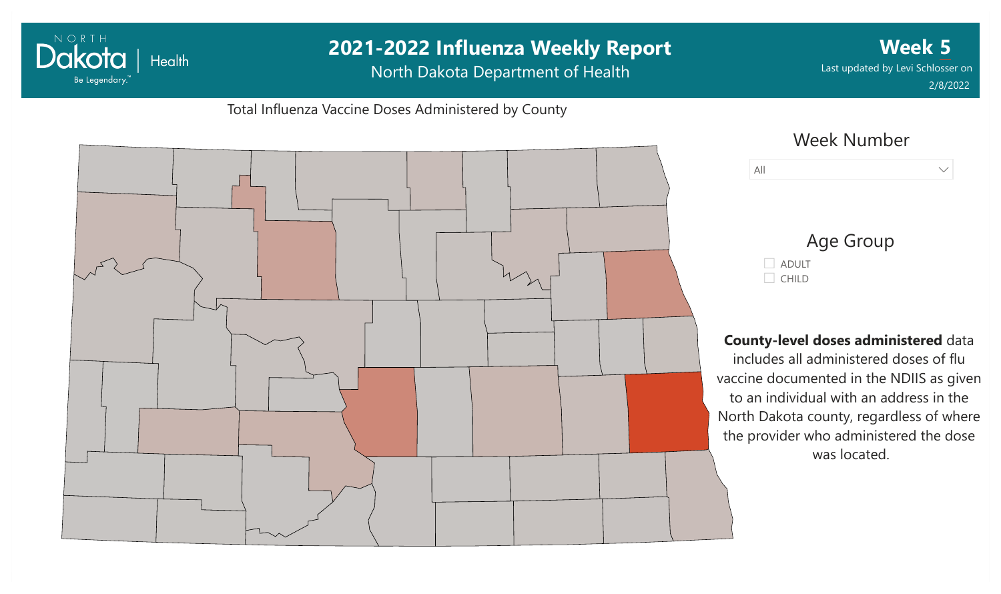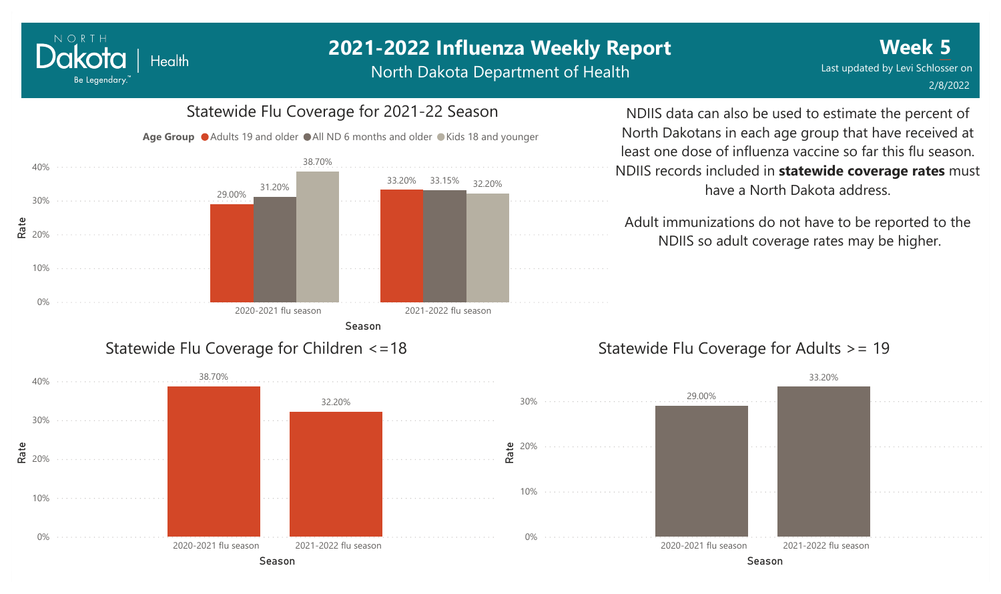North Dakota Department of Health



NORTH

Dakota

Be Legendary.

**Health** 

NDIIS data can also be used to estimate the percent of North Dakotans in each age group that have received at least one dose of influenza vaccine so far this flu season. NDIIS records included in **statewide coverage rates** must have a North Dakota address.

Adult immunizations do not have to be reported to the NDIIS so adult coverage rates may be higher.

### Statewide Flu Coverage for Adults >= 19